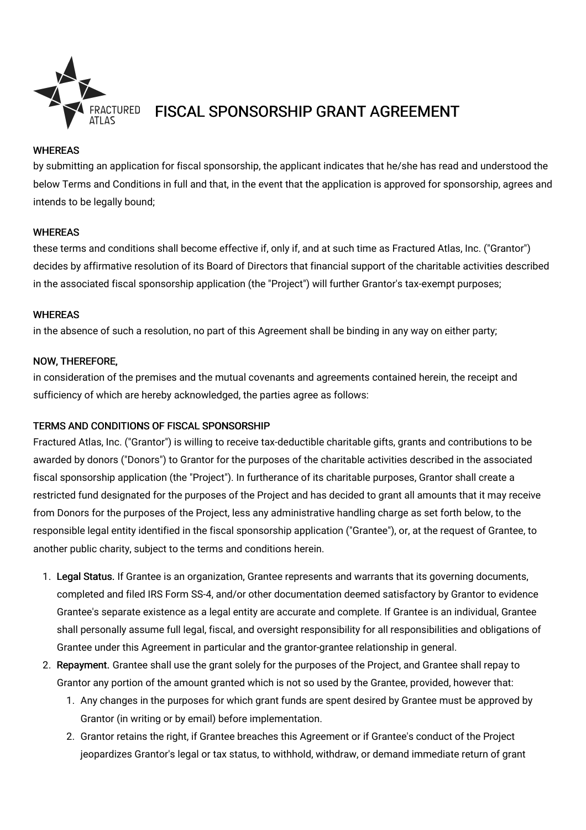

# FISCAL SPONSORSHIP GRANT AGREEMENT

### **WHEREAS**

by submitting an application for fiscal sponsorship, the applicant indicates that he/she has read and understood the below Terms and Conditions in full and that, in the event that the application is approved for sponsorship, agrees and intends to be legally bound;

#### WHEREAS

these terms and conditions shall become effective if, only if, and at such time as Fractured Atlas, Inc. ("Grantor") decides by affirmative resolution of its Board of Directors that financial support of the charitable activities described in the associated fiscal sponsorship application (the "Project") will further Grantor's tax-exempt purposes;

#### WHEREAS

in the absence of such a resolution, no part of this Agreement shall be binding in any way on either party;

#### NOW, THEREFORE,

in consideration of the premises and the mutual covenants and agreements contained herein, the receipt and sufficiency of which are hereby acknowledged, the parties agree as follows:

## TERMS AND CONDITIONS OF FISCAL SPONSORSHIP

Fractured Atlas, Inc. ("Grantor") is willing to receive tax-deductible charitable gifts, grants and contributions to be awarded by donors ("Donors") to Grantor for the purposes of the charitable activities described in the associated fiscal sponsorship application (the "Project"). In furtherance of its charitable purposes, Grantor shall create a restricted fund designated for the purposes of the Project and has decided to grant all amounts that it may receive from Donors for the purposes of the Project, less any administrative handling charge as set forth below, to the responsible legal entity identified in the fiscal sponsorship application ("Grantee"), or, at the request of Grantee, to another public charity, subject to the terms and conditions herein.

- 1. Legal Status. If Grantee is an organization, Grantee represents and warrants that its governing documents, completed and filed IRS Form SS-4, and/or other documentation deemed satisfactory by Grantor to evidence Grantee's separate existence as a legal entity are accurate and complete. If Grantee is an individual, Grantee shall personally assume full legal, fiscal, and oversight responsibility for all responsibilities and obligations of Grantee under this Agreement in particular and the grantor-grantee relationship in general.
- 2. Repayment. Grantee shall use the grant solely for the purposes of the Project, and Grantee shall repay to Grantor any portion of the amount granted which is not so used by the Grantee, provided, however that:
	- 1. Any changes in the purposes for which grant funds are spent desired by Grantee must be approved by Grantor (in writing or by email) before implementation.
	- 2. Grantor retains the right, if Grantee breaches this Agreement or if Grantee's conduct of the Project jeopardizes Grantor's legal or tax status, to withhold, withdraw, or demand immediate return of grant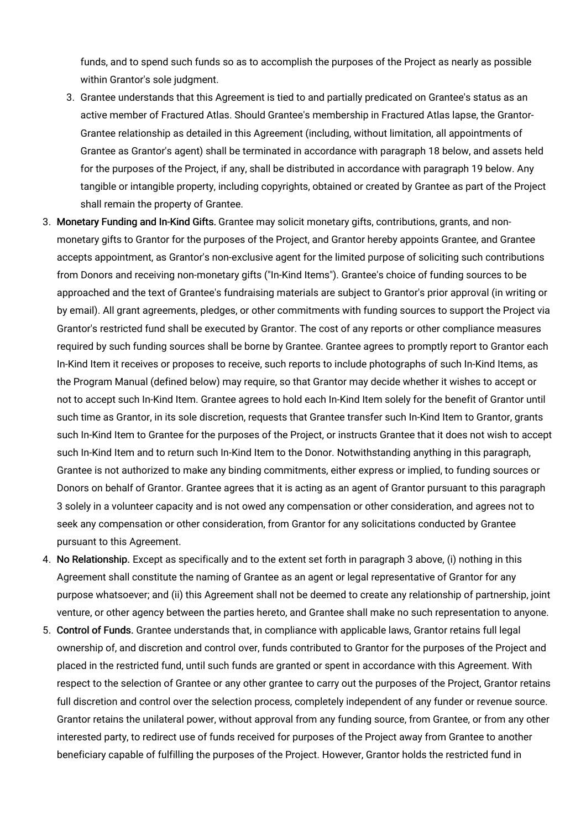funds, and to spend such funds so as to accomplish the purposes of the Project as nearly as possible within Grantor's sole judgment.

- 3. Grantee understands that this Agreement is tied to and partially predicated on Grantee's status as an active member of Fractured Atlas. Should Grantee's membership in Fractured Atlas lapse, the Grantor-Grantee relationship as detailed in this Agreement (including, without limitation, all appointments of Grantee as Grantor's agent) shall be terminated in accordance with paragraph 18 below, and assets held for the purposes of the Project, if any, shall be distributed in accordance with paragraph 19 below. Any tangible or intangible property, including copyrights, obtained or created by Grantee as part of the Project shall remain the property of Grantee.
- 3. Monetary Funding and In-Kind Gifts. Grantee may solicit monetary gifts, contributions, grants, and nonmonetary gifts to Grantor for the purposes of the Project, and Grantor hereby appoints Grantee, and Grantee accepts appointment, as Grantor's non-exclusive agent for the limited purpose of soliciting such contributions from Donors and receiving non-monetary gifts ("In-Kind Items"). Grantee's choice of funding sources to be approached and the text of Grantee's fundraising materials are subject to Grantor's prior approval (in writing or by email). All grant agreements, pledges, or other commitments with funding sources to support the Project via Grantor's restricted fund shall be executed by Grantor. The cost of any reports or other compliance measures required by such funding sources shall be borne by Grantee. Grantee agrees to promptly report to Grantor each In-Kind Item it receives or proposes to receive, such reports to include photographs of such In-Kind Items, as the Program Manual (defined below) may require, so that Grantor may decide whether it wishes to accept or not to accept such In-Kind Item. Grantee agrees to hold each In-Kind Item solely for the benefit of Grantor until such time as Grantor, in its sole discretion, requests that Grantee transfer such In-Kind Item to Grantor, grants such In-Kind Item to Grantee for the purposes of the Project, or instructs Grantee that it does not wish to accept such In-Kind Item and to return such In-Kind Item to the Donor. Notwithstanding anything in this paragraph, Grantee is not authorized to make any binding commitments, either express or implied, to funding sources or Donors on behalf of Grantor. Grantee agrees that it is acting as an agent of Grantor pursuant to this paragraph 3 solely in a volunteer capacity and is not owed any compensation or other consideration, and agrees not to seek any compensation or other consideration, from Grantor for any solicitations conducted by Grantee pursuant to this Agreement.
- 4. No Relationship. Except as specifically and to the extent set forth in paragraph 3 above, (i) nothing in this Agreement shall constitute the naming of Grantee as an agent or legal representative of Grantor for any purpose whatsoever; and (ii) this Agreement shall not be deemed to create any relationship of partnership, joint venture, or other agency between the parties hereto, and Grantee shall make no such representation to anyone.
- 5. Control of Funds. Grantee understands that, in compliance with applicable laws, Grantor retains full legal ownership of, and discretion and control over, funds contributed to Grantor for the purposes of the Project and placed in the restricted fund, until such funds are granted or spent in accordance with this Agreement. With respect to the selection of Grantee or any other grantee to carry out the purposes of the Project, Grantor retains full discretion and control over the selection process, completely independent of any funder or revenue source. Grantor retains the unilateral power, without approval from any funding source, from Grantee, or from any other interested party, to redirect use of funds received for purposes of the Project away from Grantee to another beneficiary capable of fulfilling the purposes of the Project. However, Grantor holds the restricted fund in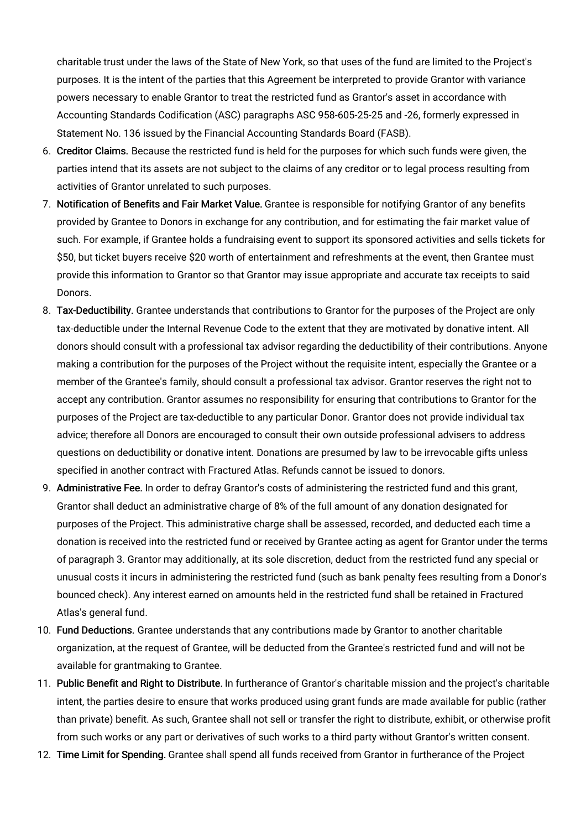charitable trust under the laws of the State of New York, so that uses of the fund are limited to the Project's purposes. It is the intent of the parties that this Agreement be interpreted to provide Grantor with variance powers necessary to enable Grantor to treat the restricted fund as Grantor's asset in accordance with Accounting Standards Codification (ASC) paragraphs ASC 958-605-25-25 and -26, formerly expressed in Statement No. 136 issued by the Financial Accounting Standards Board (FASB).

- 6. Creditor Claims. Because the restricted fund is held for the purposes for which such funds were given, the parties intend that its assets are not subject to the claims of any creditor or to legal process resulting from activities of Grantor unrelated to such purposes.
- 7. Notification of Benefits and Fair Market Value. Grantee is responsible for notifying Grantor of any benefits provided by Grantee to Donors in exchange for any contribution, and for estimating the fair market value of such. For example, if Grantee holds a fundraising event to support its sponsored activities and sells tickets for \$50, but ticket buyers receive \$20 worth of entertainment and refreshments at the event, then Grantee must provide this information to Grantor so that Grantor may issue appropriate and accurate tax receipts to said Donors.
- 8. Tax-Deductibility. Grantee understands that contributions to Grantor for the purposes of the Project are only tax-deductible under the Internal Revenue Code to the extent that they are motivated by donative intent. All donors should consult with a professional tax advisor regarding the deductibility of their contributions. Anyone making a contribution for the purposes of the Project without the requisite intent, especially the Grantee or a member of the Grantee's family, should consult a professional tax advisor. Grantor reserves the right not to accept any contribution. Grantor assumes no responsibility for ensuring that contributions to Grantor for the purposes of the Project are tax-deductible to any particular Donor. Grantor does not provide individual tax advice; therefore all Donors are encouraged to consult their own outside professional advisers to address questions on deductibility or donative intent. Donations are presumed by law to be irrevocable gifts unless specified in another contract with Fractured Atlas. Refunds cannot be issued to donors.
- 9. Administrative Fee. In order to defray Grantor's costs of administering the restricted fund and this grant, Grantor shall deduct an administrative charge of 8% of the full amount of any donation designated for purposes of the Project. This administrative charge shall be assessed, recorded, and deducted each time a donation is received into the restricted fund or received by Grantee acting as agent for Grantor under the terms of paragraph 3. Grantor may additionally, at its sole discretion, deduct from the restricted fund any special or unusual costs it incurs in administering the restricted fund (such as bank penalty fees resulting from a Donor's bounced check). Any interest earned on amounts held in the restricted fund shall be retained in Fractured Atlas's general fund.
- 10. Fund Deductions. Grantee understands that any contributions made by Grantor to another charitable organization, at the request of Grantee, will be deducted from the Grantee's restricted fund and will not be available for grantmaking to Grantee.
- 11. Public Benefit and Right to Distribute. In furtherance of Grantor's charitable mission and the project's charitable intent, the parties desire to ensure that works produced using grant funds are made available for public (rather than private) benefit. As such, Grantee shall not sell or transfer the right to distribute, exhibit, or otherwise profit from such works or any part or derivatives of such works to a third party without Grantor's written consent.
- 12. Time Limit for Spending. Grantee shall spend all funds received from Grantor in furtherance of the Project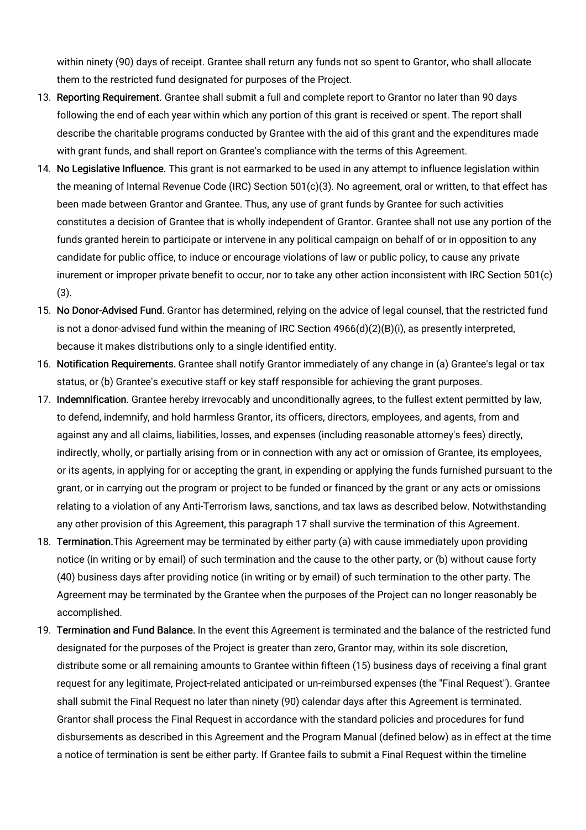within ninety (90) days of receipt. Grantee shall return any funds not so spent to Grantor, who shall allocate them to the restricted fund designated for purposes of the Project.

- 13. Reporting Requirement. Grantee shall submit a full and complete report to Grantor no later than 90 days following the end of each year within which any portion of this grant is received or spent. The report shall describe the charitable programs conducted by Grantee with the aid of this grant and the expenditures made with grant funds, and shall report on Grantee's compliance with the terms of this Agreement.
- 14. No Legislative Influence. This grant is not earmarked to be used in any attempt to influence legislation within the meaning of Internal Revenue Code (IRC) Section 501(c)(3). No agreement, oral or written, to that effect has been made between Grantor and Grantee. Thus, any use of grant funds by Grantee for such activities constitutes a decision of Grantee that is wholly independent of Grantor. Grantee shall not use any portion of the funds granted herein to participate or intervene in any political campaign on behalf of or in opposition to any candidate for public office, to induce or encourage violations of law or public policy, to cause any private inurement or improper private benefit to occur, nor to take any other action inconsistent with IRC Section 501(c) (3).
- 15. No Donor-Advised Fund. Grantor has determined, relying on the advice of legal counsel, that the restricted fund is not a donor-advised fund within the meaning of IRC Section 4966(d)(2)(B)(i), as presently interpreted, because it makes distributions only to a single identified entity.
- 16. Notification Requirements. Grantee shall notify Grantor immediately of any change in (a) Grantee's legal or tax status, or (b) Grantee's executive staff or key staff responsible for achieving the grant purposes.
- 17. Indemnification. Grantee hereby irrevocably and unconditionally agrees, to the fullest extent permitted by law, to defend, indemnify, and hold harmless Grantor, its officers, directors, employees, and agents, from and against any and all claims, liabilities, losses, and expenses (including reasonable attorney's fees) directly, indirectly, wholly, or partially arising from or in connection with any act or omission of Grantee, its employees, or its agents, in applying for or accepting the grant, in expending or applying the funds furnished pursuant to the grant, or in carrying out the program or project to be funded or financed by the grant or any acts or omissions relating to a violation of any Anti-Terrorism laws, sanctions, and tax laws as described below. Notwithstanding any other provision of this Agreement, this paragraph 17 shall survive the termination of this Agreement.
- 18. Termination.This Agreement may be terminated by either party (a) with cause immediately upon providing notice (in writing or by email) of such termination and the cause to the other party, or (b) without cause forty (40) business days after providing notice (in writing or by email) of such termination to the other party. The Agreement may be terminated by the Grantee when the purposes of the Project can no longer reasonably be accomplished.
- 19. Termination and Fund Balance. In the event this Agreement is terminated and the balance of the restricted fund designated for the purposes of the Project is greater than zero, Grantor may, within its sole discretion, distribute some or all remaining amounts to Grantee within fifteen (15) business days of receiving a final grant request for any legitimate, Project-related anticipated or un-reimbursed expenses (the "Final Request"). Grantee shall submit the Final Request no later than ninety (90) calendar days after this Agreement is terminated. Grantor shall process the Final Request in accordance with the standard policies and procedures for fund disbursements as described in this Agreement and the Program Manual (defined below) as in effect at the time a notice of termination is sent be either party. If Grantee fails to submit a Final Request within the timeline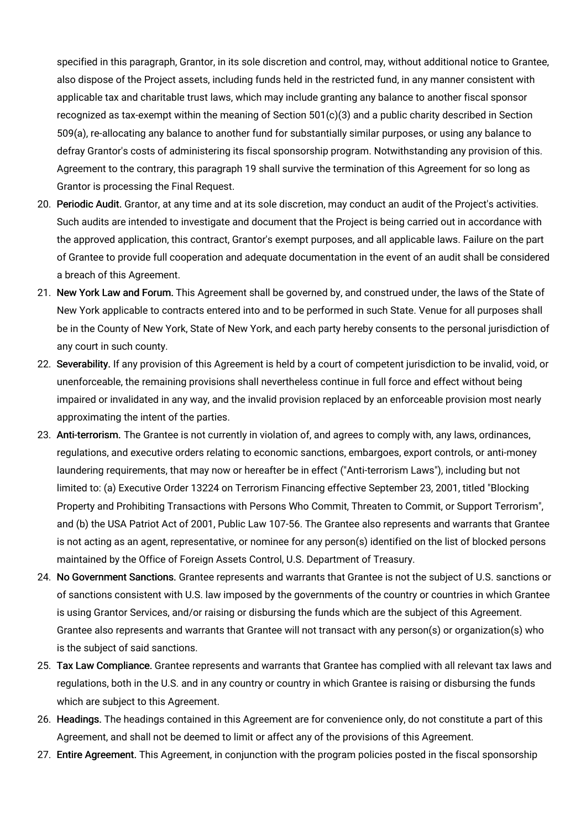specified in this paragraph, Grantor, in its sole discretion and control, may, without additional notice to Grantee, also dispose of the Project assets, including funds held in the restricted fund, in any manner consistent with applicable tax and charitable trust laws, which may include granting any balance to another fiscal sponsor recognized as tax-exempt within the meaning of Section 501(c)(3) and a public charity described in Section 509(a), re-allocating any balance to another fund for substantially similar purposes, or using any balance to defray Grantor's costs of administering its fiscal sponsorship program. Notwithstanding any provision of this. Agreement to the contrary, this paragraph 19 shall survive the termination of this Agreement for so long as Grantor is processing the Final Request.

- 20. Periodic Audit. Grantor, at any time and at its sole discretion, may conduct an audit of the Project's activities. Such audits are intended to investigate and document that the Project is being carried out in accordance with the approved application, this contract, Grantor's exempt purposes, and all applicable laws. Failure on the part of Grantee to provide full cooperation and adequate documentation in the event of an audit shall be considered a breach of this Agreement.
- 21. New York Law and Forum. This Agreement shall be governed by, and construed under, the laws of the State of New York applicable to contracts entered into and to be performed in such State. Venue for all purposes shall be in the County of New York, State of New York, and each party hereby consents to the personal jurisdiction of any court in such county.
- 22. Severability. If any provision of this Agreement is held by a court of competent jurisdiction to be invalid, void, or unenforceable, the remaining provisions shall nevertheless continue in full force and effect without being impaired or invalidated in any way, and the invalid provision replaced by an enforceable provision most nearly approximating the intent of the parties.
- 23. Anti-terrorism. The Grantee is not currently in violation of, and agrees to comply with, any laws, ordinances, regulations, and executive orders relating to economic sanctions, embargoes, export controls, or anti-money laundering requirements, that may now or hereafter be in effect ("Anti-terrorism Laws"), including but not limited to: (a) Executive Order 13224 on Terrorism Financing effective September 23, 2001, titled "Blocking Property and Prohibiting Transactions with Persons Who Commit, Threaten to Commit, or Support Terrorism", and (b) the USA Patriot Act of 2001, Public Law 107-56. The Grantee also represents and warrants that Grantee is not acting as an agent, representative, or nominee for any person(s) identified on the list of blocked persons maintained by the Office of Foreign Assets Control, U.S. Department of Treasury.
- 24. No Government Sanctions. Grantee represents and warrants that Grantee is not the subject of U.S. sanctions or of sanctions consistent with U.S. law imposed by the governments of the country or countries in which Grantee is using Grantor Services, and/or raising or disbursing the funds which are the subject of this Agreement. Grantee also represents and warrants that Grantee will not transact with any person(s) or organization(s) who is the subject of said sanctions.
- 25. Tax Law Compliance. Grantee represents and warrants that Grantee has complied with all relevant tax laws and regulations, both in the U.S. and in any country or country in which Grantee is raising or disbursing the funds which are subject to this Agreement.
- 26. Headings. The headings contained in this Agreement are for convenience only, do not constitute a part of this Agreement, and shall not be deemed to limit or affect any of the provisions of this Agreement.
- 27. Entire Agreement. This Agreement, in conjunction with the program policies posted in the fiscal sponsorship